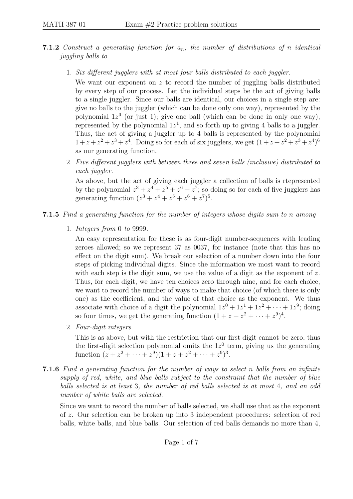- **7.1.2** Construct a generating function for  $a_n$ , the number of distributions of n identical juggling balls to
	- 1. Six different jugglers with at most four balls distributed to each juggler.

We want our exponent on  $z$  to record the number of juggling balls distributed by every step of our process. Let the individual steps be the act of giving balls to a single juggler. Since our balls are identical, our choices in a single step are: give no balls to the juggler (which can be done only one way), represented by the polynomial  $1z^0$  (or just 1); give one ball (which can be done in only one way), represented by the polynomial  $1z<sup>1</sup>$ , and so forth up to giving 4 balls to a juggler. Thus, the act of giving a juggler up to 4 balls is represented by the polynomial  $1 + z + z^2 + z^3 + z^4$ . Doing so for each of six jugglers, we get  $(1 + z + z^2 + z^3 + z^4)^6$ as our generating function.

2. Five different jugglers with between three and seven balls (inclusive) distributed to each juggler.

As above, but the act of giving each juggler a collection of balls is rtepresented by the polynomial  $z^3 + z^4 + z^5 + z^6 + z^7$ ; so doing so for each of five jugglers has generating function  $(z^3 + z^4 + z^5 + z^6 + z^7)^5$ .

- 7.1.5 Find a generating function for the number of integers whose digits sum to n among
	- 1. Integers from 0 to 9999.

An easy representation for these is as four-digit number-sequences with leading zeroes allowed; so we represent 37 as 0037, for instance (note that this has no effect on the digit sum). We break our selection of a number down into the four steps of picking individual digits. Since the information we most want to record with each step is the digit sum, we use the value of a digit as the exponent of z. Thus, for each digit, we have ten choices zero through nine, and for each choice, we want to record the number of ways to make that choice (of which there is only one) as the coefficient, and the value of that choice as the exponent. We thus associate with choice of a digit the polynomial  $1z^0 + 1z^1 + 1z^2 + \cdots + 1z^9$ ; doing so four times, we get the generating function  $(1 + z + z^2 + \cdots + z^9)^4$ .

2. Four-digit integers.

This is as above, but with the restriction that our first digit cannot be zero; thus the first-digit selection polynomial omits the  $1z<sup>0</sup>$  term, giving us the generating function  $(z + z^2 + \cdots + z^9)(1 + z + z^2 + \cdots + z^9)^3$ .

7.1.6 Find a generating function for the number of ways to select n balls from an infinite supply of red, white, and blue balls subject to the constraint that the number of blue balls selected is at least 3, the number of red balls selected is at most 4, and an odd number of white balls are selected.

Since we want to record the number of balls selected, we shall use that as the exponent of z. Our selection can be broken up into 3 independent procedures: selection of red balls, white balls, and blue balls. Our selection of red balls demands no more than 4,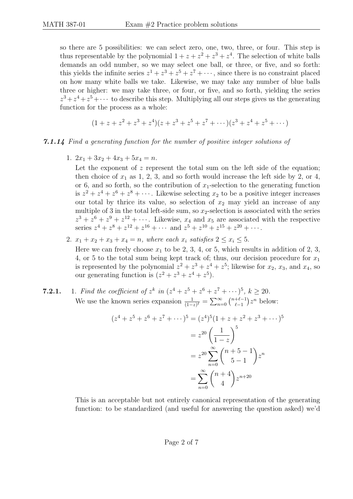so there are 5 possibilities: we can select zero, one, two, three, or four. This step is thus representable by the polynomial  $1 + z + z^2 + z^3 + z^4$ . The selection of white balls demands an odd number, so we may select one ball, or three, or five, and so forth: this yields the infinite series  $z^1 + z^3 + z^5 + z^7 + \cdots$ , since there is no constraint placed on how many white balls we take. Likewise, we may take any number of blue balls three or higher: we may take three, or four, or five, and so forth, yielding the series  $z^3 + z^4 + z^5 + \cdots$  to describe this step. Multiplying all our steps gives us the generating function for the process as a whole:

$$
(1 + z + z2 + z3 + z4)(z + z3 + z5 + z7 + \cdots)(z3 + z4 + z5 + \cdots)
$$

## 7.1.14 Find a generating function for the number of positive integer solutions of

1.  $2x_1 + 3x_2 + 4x_3 + 5x_4 = n$ .

Let the exponent of  $z$  represent the total sum on the left side of the equation; then choice of  $x_1$  as 1, 2, 3, and so forth would increase the left side by 2, or 4, or 6, and so forth, so the contribution of  $x_1$ -selection to the generating function is  $z^2 + z^4 + z^6 + z^8 + \cdots$ . Likewise selecting  $x_2$  to be a positive integer increases our total by thrice its value, so selection of  $x_2$  may yield an increase of any multiple of 3 in the total left-side sum, so  $x_2$ -selection is associated with the series  $z^3 + z^6 + z^9 + z^{12} + \cdots$ . Likewise,  $x_4$  and  $x_5$  are associated with the respective series  $z^4 + z^8 + z^{12} + z^{16} + \cdots$  and  $z^5 + z^{10} + z^{15} + z^{20} + \cdots$ .

2.  $x_1 + x_2 + x_3 + x_4 = n$ , where each  $x_i$  satisfies  $2 \le x_i \le 5$ . Here we can freely choose  $x_1$  to be 2, 3, 4, or 5, which results in addition of 2, 3, 4, or 5 to the total sum being kept track of; thus, our decision procedure for  $x_1$ is represented by the polynomial  $z^2 + z^3 + z^4 + z^5$ ; likewise for  $x_2$ ,  $x_3$ , and  $x_4$ , so our generating function is  $(z^2 + z^3 + z^4 + z^5)$ .

**7.2.1.** 1. Find the coefficient of 
$$
z^k
$$
 in  $(z^4 + z^5 + z^6 + z^7 + \cdots)^5$ ,  $k \geq 20$ . We use the known series expansion  $\frac{1}{(1-z)^{\ell}} = \sum_{n=0}^{\infty} \binom{n+\ell-1}{\ell-1} z^n$  below:

$$
(z4 + z5 + z6 + z7 + \cdots)5 = (z4)5 (1 + z + z2 + z3 + \cdots)5
$$

$$
= z20 \left(\frac{1}{1-z}\right)5
$$

$$
= z20 \sum_{n=0}^{\infty} {n+5-1 \choose 5-1} zn
$$

$$
= \sum_{n=0}^{\infty} {n+4 \choose 4} z^{n+20}
$$

This is an acceptable but not entirely canonical representation of the generating function: to be standardized (and useful for answering the question asked) we'd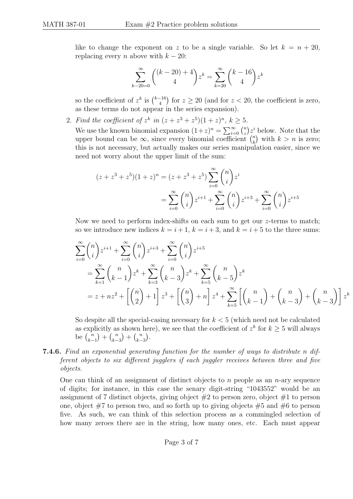like to change the exponent on z to be a single variable. So let  $k = n + 20$ , replacing every n above with  $k - 20$ :

$$
\sum_{k=20=0}^{\infty} \binom{(k-20)+4}{4} z^k = \sum_{k=20}^{\infty} \binom{k-16}{4} z^k
$$

so the coefficient of  $z^k$  is  $\binom{k-16}{4}$  $\binom{-16}{4}$  for  $z \ge 20$  (and for  $z < 20$ , the coefficient is zero, as these terms do not appear in the series expansion).

2. Find the coefficient of  $z^k$  in  $(z + z^3 + z^5)(1 + z)^n$ ,  $k \ge 5$ .

We use the known binomial expansion  $(1+z)^n = \sum_{i=0}^{\infty} {n \choose i}$  $\binom{n}{i} z^i$  below. Note that the upper bound can be  $\infty$ , since every binomial coefficient  $\binom{n}{k}$  $\binom{n}{k}$  with  $k > n$  is zero; this is not necessary, but actually makes our series manipulation easier, since we need not worry about the upper limit of the sum:

$$
(z + z3 + z5)(1 + z)n = (z + z3 + z5)\sum_{i=0}^{\infty} {n \choose i} zi
$$
  
= 
$$
\sum_{i=0}^{\infty} {n \choose i} z^{i+1} + \sum_{i=0}^{\infty} {n \choose i} z^{i+3} + \sum_{i=0}^{\infty} {n \choose i} z^{i+5}
$$

Now we need to perform index-shifts on each sum to get our  $z$ -terms to match; so we introduce new indices  $k = i + 1$ ,  $k = i + 3$ , and  $k = i + 5$  to the three sums:

$$
\sum_{i=0}^{\infty} \binom{n}{i} z^{i+1} + \sum_{i=0}^{\infty} \binom{n}{i} z^{i+3} + \sum_{i=0}^{\infty} \binom{n}{i} z^{i+5}
$$
\n
$$
= \sum_{k=1}^{\infty} \binom{n}{k-1} z^k + \sum_{k=3}^{\infty} \binom{n}{k-3} z^k + \sum_{k=5}^{\infty} \binom{n}{k-5} z^k
$$
\n
$$
= z + nz^2 + \left[ \binom{n}{2} + 1 \right] z^3 + \left[ \binom{n}{3} + n \right] z^4 + \sum_{k=5}^{\infty} \left[ \binom{n}{k-1} + \binom{n}{k-3} + \binom{n}{k-3} \right] z^k
$$

So despite all the special-casing necessary for  $k < 5$  (which need not be calculated as explicitly as shown here), we see that the coefficient of  $z^k$  for  $k \geq 5$  will always be  $\binom{n}{k}$  $\binom{n}{k-1} + \binom{n}{k-1}$  $\binom{n}{k-3} + \binom{n}{k-1}$  $\binom{n}{k-3}$ .

7.4.6. Find an exponential generating function for the number of ways to distribute n different objects to six different jugglers if each juggler receives between three and five objects.

One can think of an assignment of distinct objects to n people as an n-ary sequence of digits; for instance, in this case the senary digit-string "1043552" would be an assignment of 7 distinct objects, giving object  $#2$  to person zero, object  $#1$  to person one, object  $#7$  to person two, and so forth up to giving objects  $#5$  and  $#6$  to person five. As such, we can think of this selection process as a commingled selection of how many zeroes there are in the string, how many ones, etc. Each must appear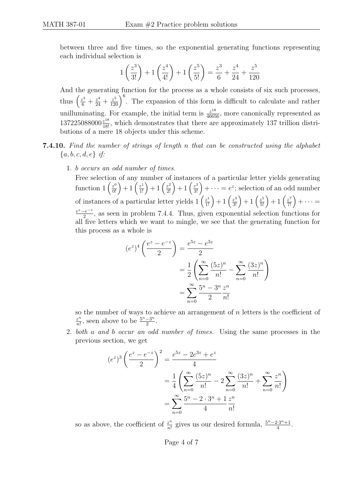between three and five times, so the exponential generating functions representing each individual selection is

$$
1\left(\frac{z^3}{3!}\right) + 1\left(\frac{z^4}{4!}\right) + 1\left(\frac{z^5}{5!}\right) = \frac{z^3}{6} + \frac{z^4}{24} + \frac{z^5}{120}
$$

And the generating function for the process as a whole consists of six such processes, thus  $\left(\frac{z^3}{6} + \frac{z^4}{24} + \frac{z^5}{120}\right)^6$ . The expansion of this form is difficult to calculate and rather unilluminating. For example, the initial term is  $\frac{z^{18}}{46656}$ , more canonically represented as  $137225088000\frac{z^{18}}{18!}$ , which demonstrates that there are approximately 137 trillion distributions of a mere 18 objects under this scheme.

- 7.4.10. Find the number of strings of length n that can be constructed using the alphabet  ${a, b, c, d, e} if:$ 
	- 1. b occurs an odd number of times.

Free selection of any number of instances of a particular letter yields generating function  $1\left(\frac{z^0}{0!}\right) + 1\left(\frac{z^1}{1!}\right) + 1\left(\frac{z^2}{2!}\right) + 1\left(\frac{z^3}{3!}\right) + \cdots = e^z$ ; selection of an odd number of instances of a particular letter yields  $1\left(\frac{z^1}{1!}\right) + 1\left(\frac{z^3}{3!}\right) + 1\left(\frac{z^5}{5!}\right) + 1\left(\frac{z^7}{7!}\right) + \cdots$  $e^z-e^{-z}$  $\frac{e^{-z}}{2}$ , as seen in problem 7.4.4. Thus, given exponential selection functions for all five letters which we want to mingle, we see that the generating function for this process as a whole is

$$
(e^{z})^{4} \left( \frac{e^{z} - e^{-z}}{2} \right) = \frac{e^{5z} - e^{3z}}{2}
$$

$$
= \frac{1}{2} \left( \sum_{n=0}^{\infty} \frac{(5z)^{n}}{n!} - \sum_{n=0}^{\infty} \frac{(3z)^{n}}{n!} \right)
$$

$$
= \sum_{n=0}^{\infty} \frac{5^{n} - 3^{n}}{2} \frac{z^{n}}{n!}
$$

so the number of ways to achieve an arrangement of  $n$  letters is the coefficient of z n  $\frac{z^n}{n!}$ , seen above to be  $\frac{5^n-3^n}{2}$  $\frac{-3^n}{2}$ .

2. both a and b occur an odd number of times. Using the same processes in the previous section, we get

$$
(e^{z})^{3} \left(\frac{e^{z} - e^{-z}}{2}\right)^{2} = \frac{e^{5z} - 2e^{3z} + e^{z}}{4}
$$

$$
= \frac{1}{4} \left(\sum_{n=0}^{\infty} \frac{(5z)^{n}}{n!} - 2\sum_{n=0}^{\infty} \frac{(3z)^{n}}{n!} + \sum_{n=0}^{\infty} \frac{z^{n}}{n!}\right)
$$

$$
= \sum_{n=0}^{\infty} \frac{5^{n} - 2 \cdot 3^{n} + 1}{4} \frac{z^{n}}{n!}
$$

so as above, the coefficient of  $\frac{z^n}{n!}$  $\frac{z^n}{n!}$  gives us our desired formula,  $\frac{5^n - 2 \cdot 3^n + 1}{4}$  $\frac{2 \cdot 3^n + 1}{4}$ .

## Page 4 of 7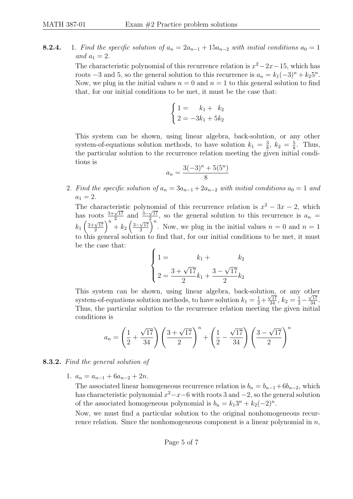**8.2.4.** 1. Find the specific solution of  $a_n = 2a_{n-1} + 15a_{n-2}$  with initial conditions  $a_0 = 1$ and  $a_1 = 2$ .

> The characteristic polynomial of this recurrence relation is  $x^2 - 2x - 15$ , which has roots  $-3$  and 5, so the general solution to this recurrence is  $a_n = k_1(-3)^n + k_2 5^n$ . Now, we plug in the initial values  $n = 0$  and  $n = 1$  to this general solution to find that, for our initial conditions to be met, it must be the case that:

$$
\begin{cases}\n1 = k_1 + k_2 \\
2 = -3k_1 + 5k_2\n\end{cases}
$$

This system can be shown, using linear algebra, back-solution, or any other system-of-equations solution methods, to have solution  $k_1 = \frac{3}{8}$  $\frac{3}{8}$ ,  $k_2 = \frac{5}{8}$  $\frac{5}{8}$ . Thus, the particular solution to the recurrence relation meeting the given initial conditions is

$$
a_n = \frac{3(-3)^n + 5(5^n)}{8}
$$

2. Find the specific solution of  $a_n = 3a_{n-1} + 2a_{n-2}$  with initial conditions  $a_0 = 1$  and  $a_1 = 2.$ 

The characteristic polynomial of this recurrence relation is  $x^2 - 3x - 2$ , which has roots  $\frac{3+\sqrt{17}}{2}$  $\frac{\sqrt{17}}{2}$  and  $\frac{3-\sqrt{17}}{2}$  $\frac{\sqrt{17}}{2}$ , so the general solution to this recurrence is  $a_n =$  $k_1\left(\frac{3+\sqrt{17}}{2}\right)$  $\frac{\sqrt{17}}{2}$ <sup>n</sup> + k<sub>2</sub>  $\left(\frac{3-\sqrt{17}}{2}\right)$  $\frac{\sqrt{17}}{2}$ <sup>n</sup>. Now, we plug in the initial values  $n = 0$  and  $n = 1$ to this general solution to find that, for our initial conditions to be met, it must be the case that:

$$
\begin{cases}\n1 = \n\begin{array}{c}\nk_1 + \nk_2 \\
2 = \frac{3 + \sqrt{17}}{2}k_1 + \frac{3 - \sqrt{17}}{2}k_2\n\end{array}\n\end{cases}
$$

This system can be shown, using linear algebra, back-solution, or any other system-of-equations solution methods, to have solution  $k_1 = \frac{1}{2} + \frac{\sqrt{17}}{34}$ ,  $k_2 = \frac{1}{2} - \frac{\sqrt{17}}{34}$ . Thus, the particular solution to the recurrence relation meeting the given initial conditions is

$$
a_n = \left(\frac{1}{2} + \frac{\sqrt{17}}{34}\right) \left(\frac{3 + \sqrt{17}}{2}\right)^n + \left(\frac{1}{2} - \frac{\sqrt{17}}{34}\right) \left(\frac{3 - \sqrt{17}}{2}\right)^n
$$

## 8.3.2. Find the general solution of

1.  $a_n = a_{n-1} + 6a_{n-2} + 2n$ .

The associated linear homogeneous recurrence relation is  $b_n = b_{n-1} + 6b_{n-2}$ , which has characteristic polynomial  $x^2 - x - 6$  with roots 3 and  $-2$ , so the general solution of the associated homogeneous polynomial is  $b_n = k_1 3^n + k_2(-2)^n$ .

Now, we must find a particular solution to the original nonhomogeneous recurrence relation. Since the nonhomogeneous component is a linear polynomial in  $n$ ,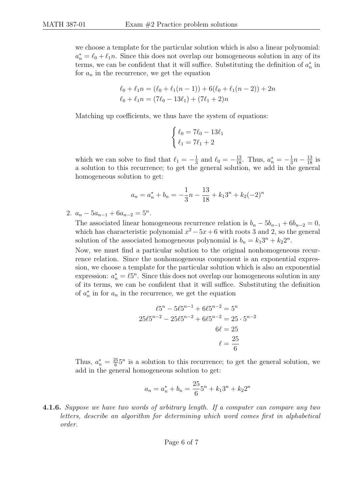we choose a template for the particular solution which is also a linear polynomial:  $a_n^* = \ell_0 + \ell_1 n$ . Since this does not overlap our homogeneous solution in any of its terms, we can be confident that it will suffice. Substituting the definition of  $a_n^*$  in for  $a_n$  in the recurrence, we get the equation

$$
\ell_0 + \ell_1 n = (\ell_0 + \ell_1 (n - 1)) + 6(\ell_0 + \ell_1 (n - 2)) + 2n
$$
  

$$
\ell_0 + \ell_1 n = (7\ell_0 - 13\ell_1) + (7\ell_1 + 2)n
$$

Matching up coefficients, we thus have the system of equations:

$$
\begin{cases} \ell_0 = 7\ell_0 - 13\ell_1\\ \ell_1 = 7\ell_1 + 2 \end{cases}
$$

which we can solve to find that  $\ell_1 = -\frac{1}{3}$  $\frac{1}{3}$  and  $\ell_0 = -\frac{13}{18}$ . Thus,  $a_n^* = -\frac{1}{3}$  $\frac{1}{3}n - \frac{13}{18}$  is a solution to this recurrence; to get the general solution, we add in the general homogeneous solution to get:

$$
a_n = a_n^* + b_n = -\frac{1}{3}n - \frac{13}{18} + k_1 3^n + k_2 (-2)^n
$$

2.  $a_n - 5a_{n-1} + 6a_{n-2} = 5^n$ .

The associated linear homogeneous recurrence relation is  $b_n - 5b_{n-1} + 6b_{n-2} = 0$ , which has characteristic polynomial  $x^2 - 5x + 6$  with roots 3 and 2, so the general solution of the associated homogeneous polynomial is  $b_n = k_1 3^n + k_2 2^n$ .

Now, we must find a particular solution to the original nonhomogeneous recurrence relation. Since the nonhomogeneous component is an exponential expression, we choose a template for the particular solution which is also an exponential expression:  $a_n^* = \ell 5^n$ . Since this does not overlap our homogeneous solution in any of its terms, we can be confident that it will suffice. Substituting the definition of  $a_n^*$  in for  $a_n$  in the recurrence, we get the equation

$$
\ell 5^{n} - 5\ell 5^{n-1} + 6\ell 5^{n-2} = 5^{n}
$$
  

$$
25\ell 5^{n-2} - 25\ell 5^{n-2} + 6\ell 5^{n-2} = 25 \cdot 5^{n-2}
$$
  

$$
6\ell = 25
$$
  

$$
\ell = \frac{25}{6}
$$

Thus,  $a_n^* = \frac{25}{6}$  $\frac{25}{6}5^n$  is a solution to this recurrence; to get the general solution, we add in the general homogeneous solution to get:

$$
a_n = a_n^* + b_n = \frac{25}{6}5^n + k_1 3^n + k_2 2^n
$$

4.1.6. Suppose we have two words of arbitrary length. If a computer can compare any two letters, describe an algorithm for determining which word comes first in alphabetical order.